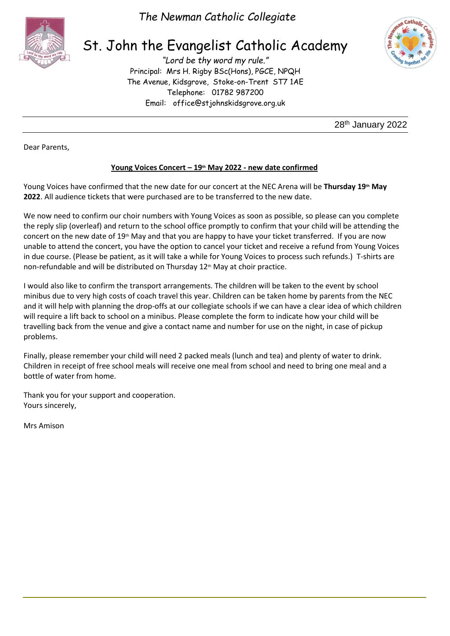

*The Newman Catholic Collegiate*

# St. John the Evangelist Catholic Academy

*"Lord be thy word my rule."* Principal: Mrs H. Rigby BSc(Hons), PGCE, NPQH The Avenue, Kidsgrove, Stoke-on-Trent ST7 1AE Telephone: 01782 987200 Email: [office@stjohnskidsgrove.org.uk](mailto:office@stjohnskidsgrove.org.uk)



28th January 2022

Dear Parents,

## **Young Voices Concert – 19th May 2022 - new date confirmed**

Young Voices have confirmed that the new date for our concert at the NEC Arena will be **Thursday 19th May 2022**. All audience tickets that were purchased are to be transferred to the new date.

We now need to confirm our choir numbers with Young Voices as soon as possible, so please can you complete the reply slip (overleaf) and return to the school office promptly to confirm that your child will be attending the concert on the new date of 19<sup>th</sup> May and that you are happy to have your ticket transferred. If you are now unable to attend the concert, you have the option to cancel your ticket and receive a refund from Young Voices in due course. (Please be patient, as it will take a while for Young Voices to process such refunds.) T-shirts are non-refundable and will be distributed on Thursday 12<sup>th</sup> May at choir practice.

I would also like to confirm the transport arrangements. The children will be taken to the event by school minibus due to very high costs of coach travel this year. Children can be taken home by parents from the NEC and it will help with planning the drop-offs at our collegiate schools if we can have a clear idea of which children will require a lift back to school on a minibus. Please complete the form to indicate how your child will be travelling back from the venue and give a contact name and number for use on the night, in case of pickup problems.

Finally, please remember your child will need 2 packed meals (lunch and tea) and plenty of water to drink. Children in receipt of free school meals will receive one meal from school and need to bring one meal and a bottle of water from home.

Thank you for your support and cooperation. Yours sincerely,

Mrs Amison